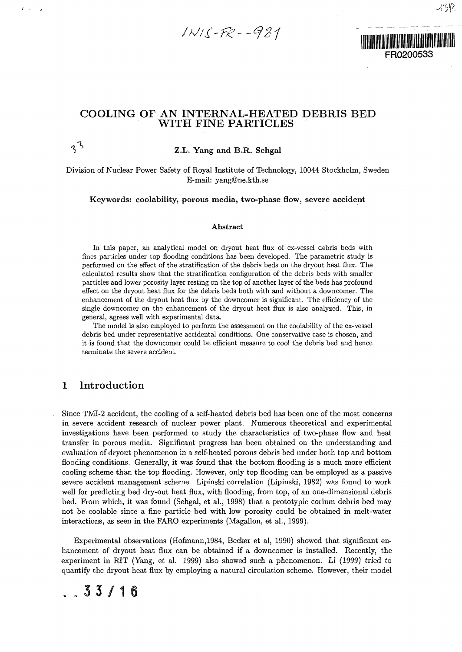$1NIS-FR--981$ 

## FR0200533

### COOLING OF AN INTERNAL-HEATED DEBRIS BED WITH FINE PARTICLES

### *"S\** **Z.L. Yang and B.R. Sehgal**

Division of Nuclear Power Safety of Royal Institute of Technology, 10044 Stockholm, Sweden E-mail: yang@ne.kth.se

**Keywords: coolability, porous media, two-phase flow, severe accident**

#### Abstract

In this paper, an analytical model on dryout heat flux of ex-vessel debris beds with fines particles under top flooding conditions has been developed. The parametric study is performed on the effect of the stratification of the debris beds on the dryout heat flux. The calculated results show that the stratification configuration of the debris beds with smaller particles and lower porosity layer resting on the top of another layer of the beds has profound effect on the dryout heat flux for the debris beds both with and without a downcomer. The enhancement of the dryout heat flux by the downcomer is significant. The efficiency of the single downcomer on the enhancement of the dryout heat flux is also analyzed. This, in general, agrees well with experimental data.

The model is also employed to perform the assessment on the coolability of the ex-vessel debris bed under representative accidental conditions. One conservative case is chosen, and it is found that the downcomer could be efficient measure to cool the debris bed and hence terminate the severe accident.

#### 1 Introduction

É.

Since TMI-2 accident, the cooling of a self-heated debris bed has been one of the most concerns in severe accident research of nuclear power plant. Numerous theoretical and experimental investigations have been performed to study the characteristics of two-phase flow and heat transfer in porous media. Significant progress has been obtained on the understanding and evaluation of dryout phenomenon in a self-heated porous debris bed under both top and bottom flooding conditions. Generally, it was found that the bottom flooding is a much more efficient cooling scheme than the top flooding. However, only top flooding can be employed as a passive severe accident management scheme. Lipinski correlation (Lipinski, 1982) was found to work well for predicting bed dry-out heat flux, with flooding, from top, of an one-dimensional debris bed. From which, it was found (Sehgal, et al., 1998) that a prototypic corium debris bed may not be coolable since a fine particle bed with low porosity could be obtained in melt-water interactions, as seen in the FARO experiments (Magallon, et al., 1999).

Experimental observations (Hofmann,1984, Becker et al, 1990) showed that significant enhancement of dryout heat flux can be obtained if a downcomer is installed. Recently, the experiment in RIT (Yang, et al. 1999) also showed such a phenomenon. Li (1999) tried *to* quantify the dryout heat flux by employing a natural circulation scheme. However, their model

### $33/16$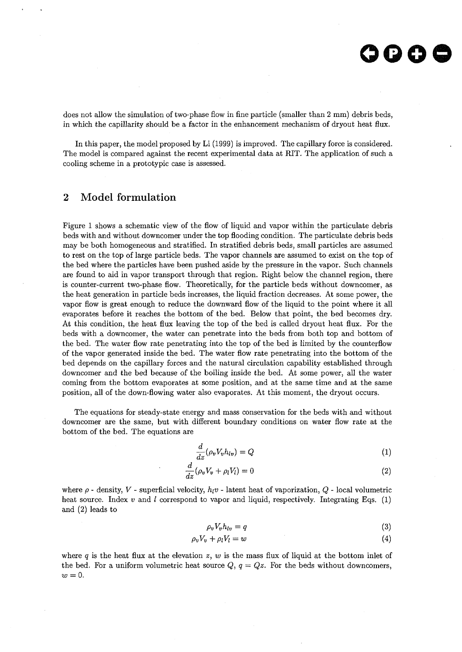does not allow the simulation of two-phase flow in fine particle (smaller than 2 mm) debris beds, in which the capillarity should be a factor in the enhancement mechanism of dryout heat flux.

In this paper, the model proposed by Li (1999) is improved. The capillary force is considered. The model is compared against the recent experimental data at RIT. The application of such a cooling scheme in a prototypic case is assessed.

### 2 Model formulation

Figure 1 shows a schematic view of the flow of liquid and vapor within the particulate debris beds with and without downcomer under the top flooding condition. The particulate debris beds may be both homogeneous and stratified. In stratified debris beds, small particles are assumed to rest on the top of large particle beds. The vapor channels are assumed to exist on the top of the bed where the particles have been pushed aside by the pressure in the vapor. Such channels are found to aid in vapor transport through that region. Right below the channel region, there is counter-current two-phase flow. Theoretically, for the particle beds without downcomer, as the heat generation in particle beds increases, the liquid fraction decreases. At some power, the vapor flow is great enough to reduce the downward flow of the liquid to the point where it all evaporates before it reaches the bottom of the bed. Below that point, the bed becomes dry. At this condition, the heat flux leaving the top of the bed is called dryout heat flux. For the beds with a downcomer, the water can penetrate into the beds from both top and bottom of the bed. The water flow rate penetrating into the top of the bed is limited by the counterflow of the vapor generated inside the bed. The water flow rate penetrating into the bottom of the bed depends on the capillary forces and the natural circulation capability established through downcomer and the bed because of the boiling inside the bed. At some power, all the water coming from the bottom evaporates at some position, and at the same time and at the same position, all of the down-flowing water also evaporates. At this moment, the dryout occurs.

The equations for steady-state energy and mass conservation for the beds with and without downcomer are the same, but with different boundary conditions on water flow rate at the bottom of the bed. The equations are

$$
\frac{d}{dz}(\rho_v V_v h_{lv}) = Q \tag{1}
$$

$$
\frac{d}{dz}(\rho_v V_v + \rho_l V_l) = 0\tag{2}
$$

where  $\rho$  - density,  $V$  - superficial velocity,  $h_1v$  - latent heat of vaporization,  $Q$  - local volumetric heat source. Index *v* and *I* correspond to vapor and liquid, respectively. Integrating Eqs. (1) and (2) leads to

$$
\rho_v V_v h_{lv} = q \tag{3}
$$

$$
\rho_v V_v + \rho_l V_l = w \tag{4}
$$

where *q* is the heat flux at the elevation *z, w* is the mass flux of liquid at the bottom inlet of the bed. For a uniform volumetric heat source  $Q, q = Qz$ . For the beds without downcomers, *w = 0.*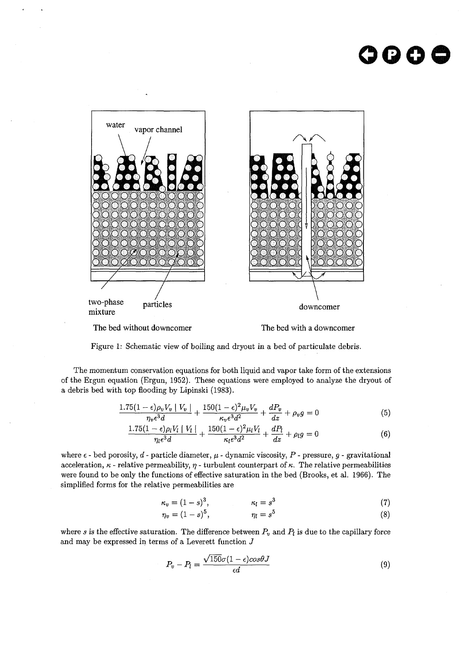# **oooo**



The bed without downcomer<br>The bed with a downcomer

Figure 1: Schematic view of boiling and dryout in a bed of particulate debris.

The momentum conservation equations for both liquid and vapor take form of the extensions of the Ergun equation (Ergun, 1952). These equations were employed to analyze the dryout of a debris bed with top flooding by Lipinski (1983).

$$
\frac{1.75(1-\epsilon)\rho_v V_v \mid V_v \mid}{\eta_v \epsilon^3 d} + \frac{150(1-\epsilon)^2 \mu_v V_v}{\kappa_v \epsilon^3 d^2} + \frac{dP_v}{dz} + \rho_v g = 0 \tag{5}
$$

$$
\frac{1.75(1-\epsilon)\rho_l V_l \mid V_l \mid}{\eta_l \epsilon^3 d} + \frac{150(1-\epsilon)^2 \mu_l V_l}{\kappa_l \epsilon^3 d^2} + \frac{dP_l}{dz} + \rho_l g = 0 \tag{6}
$$

where  $\epsilon$  - bed porosity,  $d$  - particle diameter,  $\mu$  - dynamic viscosity,  $P$  - pressure,  $g$  - gravitational acceleration,  $\kappa$  - relative permeability,  $\eta$  - turbulent counterpart of  $\kappa$ . The relative permeabilities were found to be only the functions of effective saturation in the bed (Brooks, et al. 1966). The simplified forms for the relative permeabilities are

$$
\kappa_v = (1-s)^3, \qquad \qquad \kappa_l = s^3 \tag{7}
$$

$$
\eta_v = (1 - s)^5, \qquad \eta_l = s^5 \tag{8}
$$

where *s* is the effective saturation. The difference between  $P_v$  and  $P_l$  is due to the capillary force and may be expressed in terms of a Leverett function *J*

$$
P_v - P_l = \frac{\sqrt{150}\sigma (1 - \epsilon)\cos \theta J}{\epsilon d} \tag{9}
$$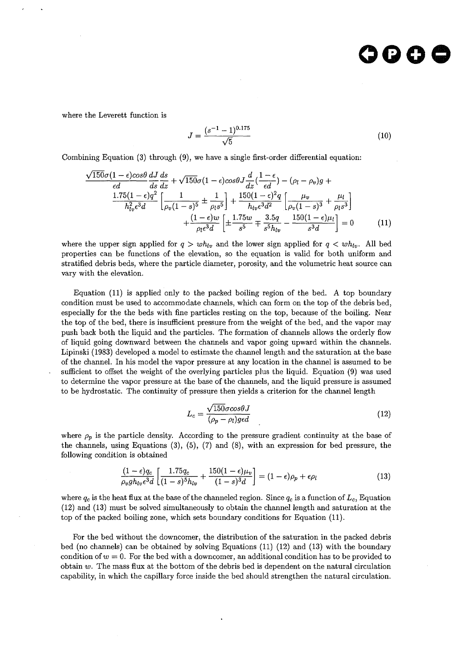### cococ

where the Leverett function is

$$
J = \frac{(s^{-1} - 1)^{0.175}}{\sqrt{5}}\tag{10}
$$

Combining Equation (3) through (9), we have a single first-order differential equation:

$$
\frac{\sqrt{150}\sigma(1-\epsilon)\cos\theta}{\epsilon d} \frac{dJ}{ds} \frac{ds}{dz} + \sqrt{150}\sigma(1-\epsilon)\cos\theta J \frac{d}{dz}(\frac{1-\epsilon}{\epsilon d}) - (\rho_l - \rho_v)g + \frac{1.75(1-\epsilon)q^2}{h_{lv}^2 \epsilon^3 d} \left[ \frac{1}{\rho_v(1-s)^5} \pm \frac{1}{\rho_l s^5} \right] + \frac{150(1-\epsilon)^2 q}{h_{lv} \epsilon^3 d^2} \left[ \frac{\mu_v}{\rho_v(1-s)^3} + \frac{\mu_l}{\rho_l s^3} \right] + \frac{(1-\epsilon)w}{\rho_l \epsilon^3 d} \left[ \pm \frac{1.75w}{s^5} \mp \frac{3.5q}{s^5 h_{lv}} - \frac{150(1-\epsilon)\mu_l}{s^3 d} \right] = 0 \tag{11}
$$

where the upper sign applied for  $q > wh_{lv}$  and the lower sign applied for  $q < wh_{lv}$ . All bed properties can be functions of the elevation, so the equation is valid for both uniform and stratified debris beds, where the particle diameter, porosity, and the volumetric heat source can vary with the elevation.

Equation (11) is applied only to the packed boiling region of the bed. A top boundary condition must be used to accommodate channels, which can form on the top of the debris bed, especially for the the beds with fine particles resting on the top, because of the boiling. Near the top of the bed, there is insufficient pressure from the weight of the bed, and the vapor may push back both the liquid and the particles. The formation of channels allows the orderly flow of liquid going downward between the channels and vapor going upward within the channels. Lipinski (1983) developed a model to estimate the channel length and the saturation at the base of the channel. In his model the vapor pressure at any location in the channel is assumed to be sufficient to offset the weight of the overlying particles plus the liquid. Equation (9) was used to determine the vapor pressure at the base of the channels, and the liquid pressure is assumed to be hydrostatic. The continuity of pressure then yields a criterion for the channel length

$$
L_c = \frac{\sqrt{150}\sigma \cos\theta J}{(\rho_p - \rho_l) \text{gcd}}\tag{12}
$$

where  $\rho_p$  is the particle density. According to the pressure gradient continuity at the base of the channels, using Equations  $(3)$ ,  $(5)$ ,  $(7)$  and  $(8)$ , with an expression for bed pressure, the following condition is obtained

$$
\frac{(1-\epsilon)q_c}{\rho_v gh_{lv}\epsilon^3 d} \left[ \frac{1.75q_c}{(1-s)^5 h_{lv}} + \frac{150(1-\epsilon)\mu_v}{(1-s)^3 d} \right] = (1-\epsilon)\rho_p + \epsilon \rho_l \tag{13}
$$

where  $q_c$  is the heat flux at the base of the channeled region. Since  $q_c$  is a function of  $L_c$ , Equation (12) and (13) must be solved simultaneously to obtain the channel length and saturation at the top of the packed boiling zone, which sets boundary conditions for Equation (11).

For the bed without the downcomer, the distribution of the saturation in the packed debris bed (no channels) can be obtained by solving Equations (11) (12) and (13) with the boundary condition of  $w = 0$ . For the bed with a downcomer, an additional condition has to be provided to obtain *w.* The mass flux at the bottom of the debris bed is dependent on the natural circulation capability, in which the capillary force inside the bed should strengthen the natural circulation.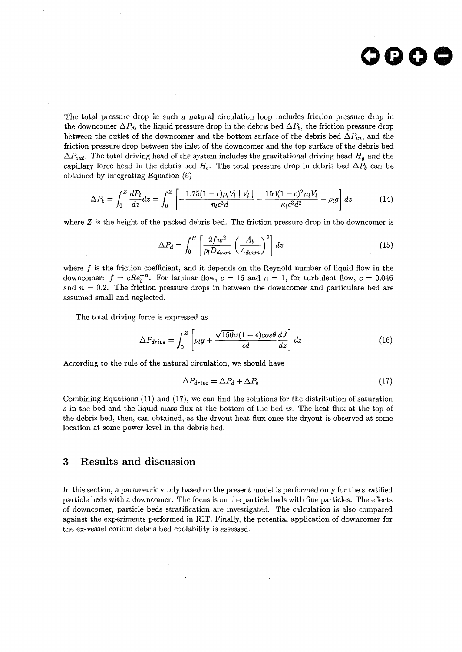

The total pressure drop in such a natural circulation loop includes friction pressure drop in the downcomer  $\Delta P_d$ , the liquid pressure drop in the debris bed  $\Delta P_b$ , the friction pressure drop between the outlet of the downcomer and the bottom surface of the debris bed  $\Delta P_{in}$ , and the friction pressure drop between the inlet of the downcomer and the top surface of the debris bed  $\Delta P_{out}$ . The total driving head of the system includes the gravitational driving head  $H_g$  and the capillary force head in the debris bed  $H_c$ . The total pressure drop in debris bed  $\Delta P_b$  can be obtained by integrating Equation (6)

$$
\Delta P_b = \int_0^Z \frac{dP_l}{dz} dz = \int_0^Z \left[ -\frac{1.75(1-\epsilon)\rho_l V_l \mid V_l \mid}{\eta_l \epsilon^3 d} - \frac{150(1-\epsilon)^2 \mu_l V_l}{\kappa_l \epsilon^3 d^2} - \rho_l g \right] dz \tag{14}
$$

where *Z* is the height of the packed debris bed. The friction pressure drop in the downcomer is

$$
\Delta P_d = \int_0^H \left[ \frac{2fw^2}{\rho_l D_{down}} \left( \frac{A_b}{A_{down}} \right)^2 \right] dz \tag{15}
$$

where  $f$  is the friction coefficient, and it depends on the Reynold number of liquid flow in the downcomer:  $f = cRe<sub>l</sub><sup>-n</sup>$ . For laminar flow,  $c = 16$  and  $n = 1$ , for turbulent flow,  $c = 0.046$ and  $n = 0.2$ . The friction pressure drops in between the downcomer and particulate bed are assumed small and neglected.

The total driving force is expressed as

$$
\Delta P_{drive} = \int_0^Z \left[ \rho_l g + \frac{\sqrt{150} \sigma (1 - \epsilon) \cos \theta}{\epsilon d} \frac{dJ}{dz} \right] dz \tag{16}
$$

According to the rule of the natural circulation, we should have

$$
\Delta P_{drive} = \Delta P_d + \Delta P_b \tag{17}
$$

Combining Equations (11) and (17), we can find the solutions for the distribution of saturation *s* in the bed and the liquid mass flux at the bottom of the bed *w.* The heat flux at the top of the debris bed, then, can obtained, as the dryout heat flux once the dryout is observed at some location at some power level in the debris bed.

#### 3 Results and discussion

In this section, a parametric study based on the present model is performed only for the stratified particle beds with a downcomer. The focus is on the particle beds with fine particles. The effects of downcomer, particle beds stratification are investigated. The calculation is also compared against the experiments performed in RIT. Finally, the potential application of downcomer for the ex-vessel corium debris bed coolability is assessed.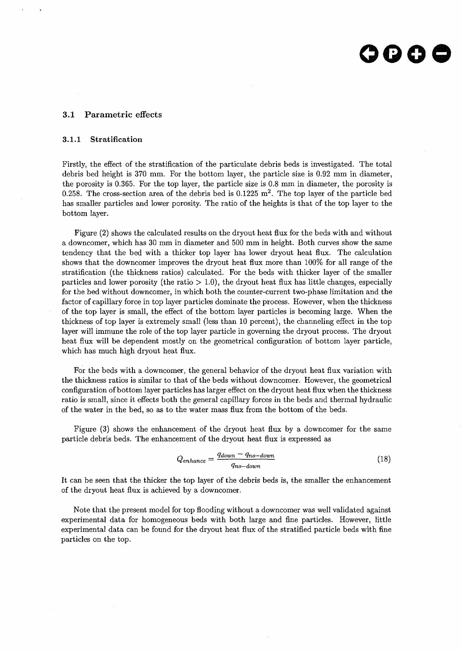### 000 C

#### 3.1 Parametric effects

#### 3.1.1 Stratification

Firstly, the effect of the stratification of the particulate debris beds is investigated. The total debris bed height is 370 mm. For the bottom layer, the particle size is 0.92 mm in diameter, the porosity is 0.365. For the top layer, the particle size is 0.8 mm in diameter, the porosity is 0.258. The cross-section area of the debris bed is  $0.1225 \text{ m}^2$ . The top layer of the particle bed has smaller particles and lower porosity. The ratio of the heights is that of the top layer to the bottom layer.

Figure (2) shows the calculated results on the dryout heat flux for the beds with and without a downcomer, which has 30 mm in diameter and 500 mm in height. Both curves show the same tendency that the bed with a thicker top layer has lower dryout heat flux. The calculation shows that the downcomer improves the dryout heat flux more than 100% for all range of the stratification (the thickness ratios) calculated. For the beds with thicker layer of the smaller particles and lower porosity (the ratio  $> 1.0$ ), the dryout heat flux has little changes, especially for the bed without downcomer, in which both the counter-current two-phase limitation and the factor of capillary force in top layer particles dominate the process. However, when the thickness of the top layer is small, the effect of the bottom layer particles is becoming large. When the thickness of top layer is extremely small (less than 10 percent), the channeling effect in the top layer will immune the role of the top layer particle in governing the dryout process. The dryout heat flux will be dependent mostly on the geometrical configuration of bottom layer particle, which has much high dryout heat flux.

For the beds with a downcomer, the general behavior of the dryout heat flux variation with the thickness ratios is similar to that of the beds without downcomer. However, the geometrical configuration of bottom layer particles has larger effect on the dryout heat flux when the thickness ratio is small, since it effects both the general capillary forces in the beds and thermal hydraulic of the water in the bed, so as to the water mass flux from the bottom of the beds.

Figure (3) shows the enhancement of the dryout heat flux by a downcomer for the same particle debris beds. The enhancement of the dryout heat flux is expressed as

$$
Q_{enhance} = \frac{q_{down} - q_{no-down}}{q_{no-down}} \tag{18}
$$

It can be seen that the thicker the top layer of the debris beds is, the smaller the enhancement of the dryout heat flux is achieved by a downcomer.

Note that the present model for top flooding without a downcomer was well validated against experimental data for homogeneous beds with both large and fine particles. However, little experimental data can be found for the dryout heat flux of the stratified particle beds with fine particles on the top.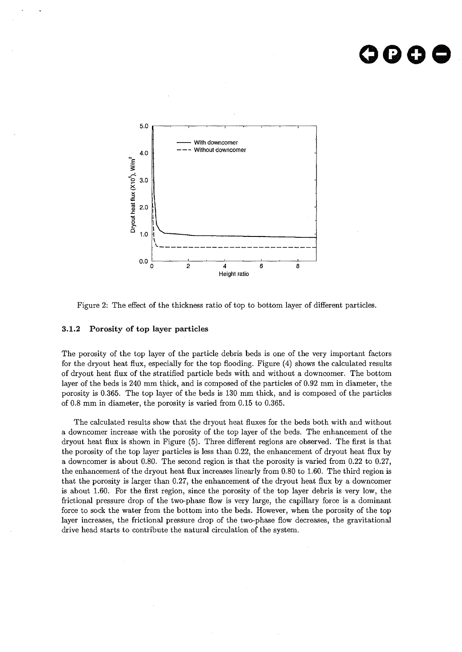## OOOC



Figure 2: The effect of the thickness ratio of top to bottom layer of different particles.

#### **3.1.2 Porosity of top layer particles**

The porosity of the top layer of the particle debris beds is one of the very important factors for the dryout heat flux, especially for the top flooding. Figure (4) shows the calculated results of dryout heat flux of the stratified particle beds with and without a downcomer. The bottom layer of the beds is 240 mm thick, and is composed of the particles of 0.92 mm in diameter, the porosity is 0.365. The top layer of the beds is 130 mm thick, and is composed of the particles of 0.8 mm in diameter, the porosity is varied from 0.15 to 0.365.

The calculated results show that the dryout heat fluxes for the beds both with and without a downcomer increase with the porosity of the top layer of the beds. The enhancement of the dryout heat flux is shown in Figure (5). Three different regions are observed. The first is that the porosity of the top layer particles is less than 0.22, the enhancement of dryout heat flux by a downcomer is about 0.80. The second region is that the porosity is varied from 0.22 to 0.27, the enhancement of the dryout heat flux increases linearly from 0.80 to 1.60. The third region is that the porosity is larger than 0.27, the enhancement of the dryout heat flux by a downcomer is about 1.60. For the first region, since the porosity of the top layer debris is very low, the frictional pressure drop of the two-phase flow is very large, the capillary force is a dominant force to sock the water from the bottom into the beds. However, when the porosity of the top layer increases, the frictional pressure drop of the two-phase flow decreases, the gravitational drive head starts to contribute the natural circulation of the system.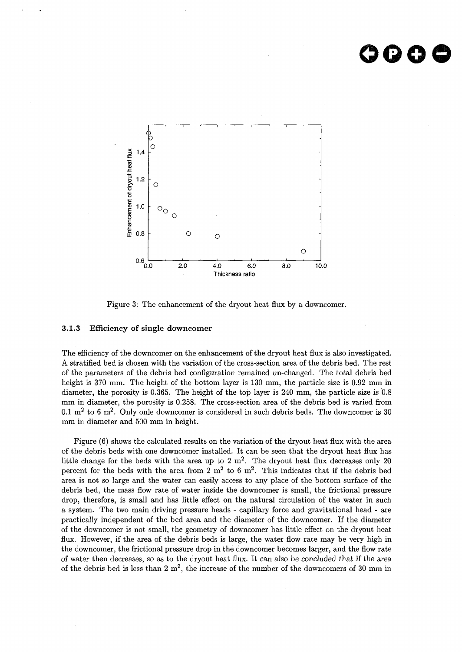### OOO



Figure 3: The enhancement of the dryout heat flux by a downcomer.

#### **3.1.3 Efficiency of single** downcomer

The efficiency of the downcomer on the enhancement of the dryout heat flux is also investigated. A stratified bed is chosen with the variation of the cross-section area of the debris bed. The rest of the parameters of the debris bed configuration remained un-changed. The total debris bed height is 370 mm. The height of the bottom layer is 130 mm, the particle size is 0.92 mm in diameter, the porosity is 0.365. The height of the top layer is 240 mm, the particle size is 0.8 mm in diameter, the porosity is 0.258. The cross-section area of the debris bed is varied from 0.1 m<sup>2</sup> to 6 m<sup>2</sup>. Only onle downcomer is considered in such debris beds. The downcomer is 30 mm in diameter and 500 mm in height.

Figure (6) shows the calculated results on the variation of the dryout heat flux with the area of the debris beds with one downcomer installed. It can be seen that the dryout heat flux has little change for the beds with the area up to 2  $m^2$ . The dryout heat flux decreases only 20 percent for the beds with the area from 2  $m^2$  to 6  $m^2$ . This indicates that if the debris bed area is not so large and the water can easily access to any place of the bottom surface of the debris bed, the mass flow rate of water inside the downcomer is small, the frictional pressure drop, therefore, is small and has little effect on the natural circulation of the water in such a system. The two main driving pressure heads - capillary force and gravitational head - are practically independent of the bed area and the diameter of the downcomer. If the diameter of the downcomer is not small, the geometry of downcomer has little effect on the dryout heat flux. However, if the area of the debris beds is large, the water flow rate may be very high in the downcomer, the frictional pressure drop in the downcomer becomes larger, and the flow rate of water then decreases, so as to the dryout heat flux. It can also be concluded that if the area of the debris bed is less than 2 m<sup>2</sup>, the increase of the number of the downcomers of 30 mm in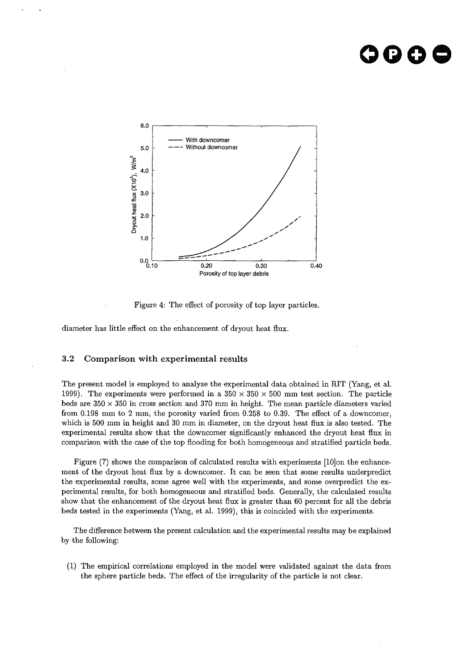### **oooo**



Figure 4: The effect of porosity of top layer particles.

diameter has little effect on the enhancement of dryout heat flux.

#### 3.2 Comparison with experimental results

The present model is employed to analyze the experimental data obtained in RIT (Yang, et al. 1999). The experiments were performed in a  $350 \times 350 \times 500$  mm test section. The particle beds are  $350 \times 350$  in cross section and 370 mm in height. The mean particle diameters varied from 0.198 mm to 2 mm, the porosity varied from 0.258 to 0.39. The effect of a downcomer, which is 500 mm in height and 30 mm in diameter, on the dryout heat flux is also tested. The experimental results show that the downcomer significantly enhanced the dryout heat flux in comparison with the case of the top flooding for both homogeneous and stratified particle beds.

Figure (7) shows the comparison of calculated results with experiments [10]on the enhancement of the dryout heat flux by a downcomer. It can be seen that some results underpredict the experimental results, some agree well with the experiments, and some overpredict the experimental results, for both homogeneous and stratified beds. Generally, the calculated results show that the enhancement of the dryout heat flux is greater than 60 percent for all the debris beds tested in the experiments (Yang, et al. 1999), this is coincided with the experiments.

The difference between the present calculation and the experimental results may be explained by the following:

(1) The empirical correlations employed in the model were validated against the data from the sphere particle beds. The effect of the irregularity of the particle is not clear.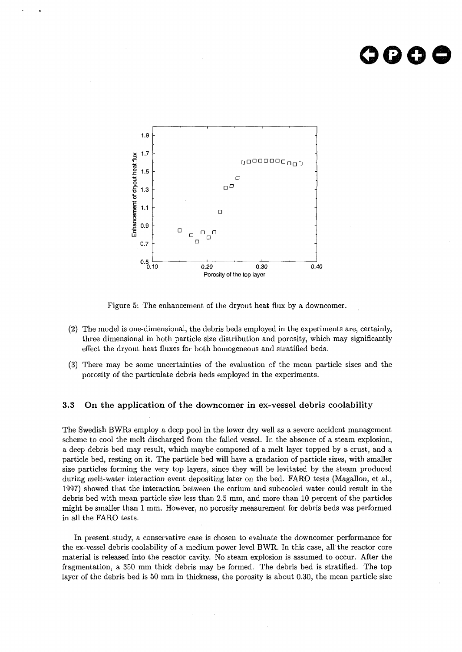### **oooe**



Figure 5: The enhancement of the dryout heat flux by a downcomer.

- (2) The model is one-dimensional, the debris beds employed in the experiments are, certainly, three dimensional in both particle size distribution and porosity, which may significantly effect the dryout heat fluxes for both homogeneous and stratified beds.
- (3) There may be some uncertainties of the evaluation of the mean particle sizes and the porosity of the particulate debris beds employed in the experiments.

#### 3.3 On the application of the downcomer in ex-vessel debris coolability

The Swedish BWRs employ a deep pool in the lower dry well as a severe accident management scheme to cool the melt discharged from the failed vessel. In the absence of a steam explosion, a deep debris bed may result, which maybe composed of a melt layer topped by a crust, and a particle bed, resting on it. The particle bed will have a gradation of particle sizes, with smaller size particles forming the very top layers, since they will be levitated by the steam produced during melt-water interaction event depositing later on the bed. FARO tests (Magallon, et al., 1997) showed that the interaction between the corium and subcooled water could result in the debris bed with mean particle size less than 2.5 mm, and more than 10 percent of the particles might be smaller than 1 mm. However, no porosity measurement for debris beds was performed in all the FARO tests.

In present.study, a conservative case is chosen to evaluate the downcomer performance for the ex-vessel debris coolability of a medium power level BWR. In this case, all the reactor core material is released into the reactor cavity. No steam explosion is assumed to occur. After the fragmentation, a 350 mm thick debris may be formed. The debris bed is stratified. The top layer of the debris bed is 50 mm in thickness, the porosity is about 0.30, the mean particle size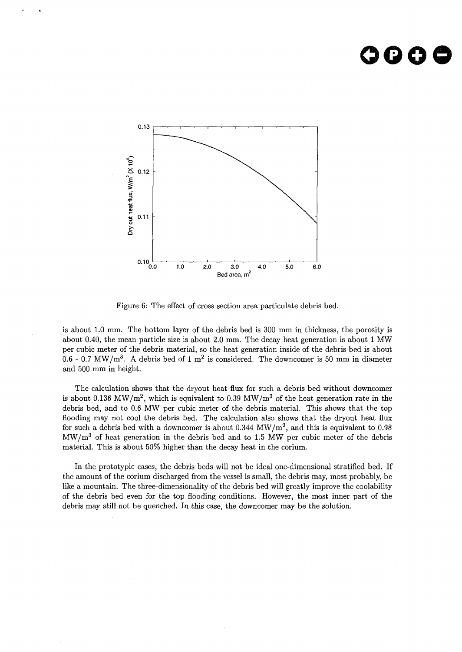### **oooe**



Figure 6: The effect of cross section area particulate debris bed.

is about 1.0 mm. The bottom layer of the debris bed is 300 mm in thickness, the porosity is about 0.40, the mean particle size is about 2.0 mm. The decay heat generation is about 1 MW per cubic meter of the debris material, so the heat generation inside of the debris bed is about  $0.6$  - 0.7 MW/m<sup>3</sup>. A debris bed of 1 m<sup>2</sup> is considered. The downcomer is 50 mm in diameter and 500 mm in height.

The calculation shows that the dryout heat flux for such a debris bed without downcomer is about 0.136 MW/m<sup>2</sup>, which is equivalent to 0.39 MW/m<sup>3</sup> of the heat generation rate in the debris bed, and to 0.6 MW per cubic meter of the debris material. This shows that the top flooding may not cool the debris bed. The calculation also shows that the dryout heat flux for such a debris bed with a downcomer is about 0.344  $MW/m^2$ , and this is equivalent to 0.98  $MW/m<sup>3</sup>$  of heat generation in the debris bed and to 1.5 MW per cubic meter of the debris material. This is about 50% higher than the decay heat in the corium.

In the prototypic cases, the debris beds will not be ideal one-dimensional stratified bed. If the amount of the corium discharged from the vessel is small, the debris may, most probably, be like a mountain. The three-dimensionality of the debris bed will greatly improve the coolability of the debris bed even for the top flooding conditions. However, the most inner part of the debris may still not be quenched. In this case, the downcomer may be the solution.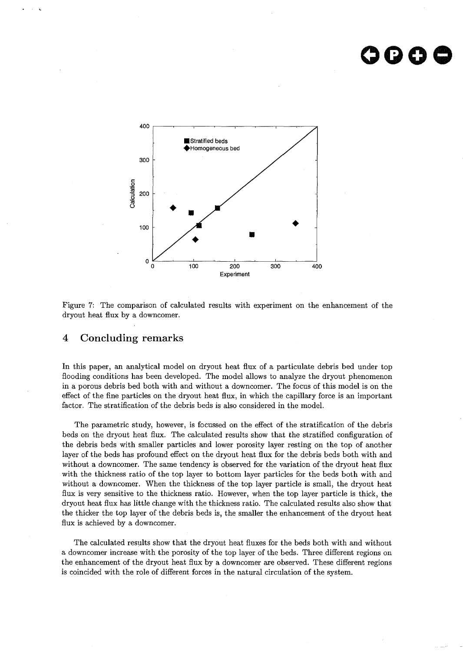### **oooe**



Figure 7: The comparison of calculated results with experiment on the enhancement of the dryout heat flux by a downcomer.

### 4 Concluding remarks

In this paper, an analytical model on dryout heat flux of a particulate debris bed under top flooding conditions has been developed. The model allows to analyze the dryout phenomenon in a porous debris bed both with and without a downcomer. The focus of this model is on the effect of the fine particles on the dryout heat flux, in which the capillary force is an important factor. The stratification of the debris beds is also considered in the model.

The parametric study, however, is focussed on the effect of the stratification of the debris beds on the dryout heat flux. The calculated results show that the stratified configuration of the debris beds with smaller particles and lower porosity layer resting on the top of another layer of the beds has profound effect on the dryout heat flux for the debris beds both with and without a downcomer. The same tendency is observed for the variation of the dryout heat flux with the thickness ratio of the top layer to bottom layer particles for the beds both with and without a downcomer. When the thickness of the top layer particle is small, the dryout heat flux is very sensitive to the thickness ratio. However, when the top layer particle is thick, the dryout heat flux has little change with the thickness ratio. The calculated results also show that the thicker the top layer of the debris beds is, the smaller the enhancement of the dryout heat flux is achieved by a downcomer.

The calculated results show that the dryout heat fluxes for the beds both with and without a downcomer increase with the porosity of the top layer of the beds. Three different regions on the enhancement of the dryout heat flux by a downcomer are observed. These different regions is coincided with the role of different forces in the natural circulation of the system.